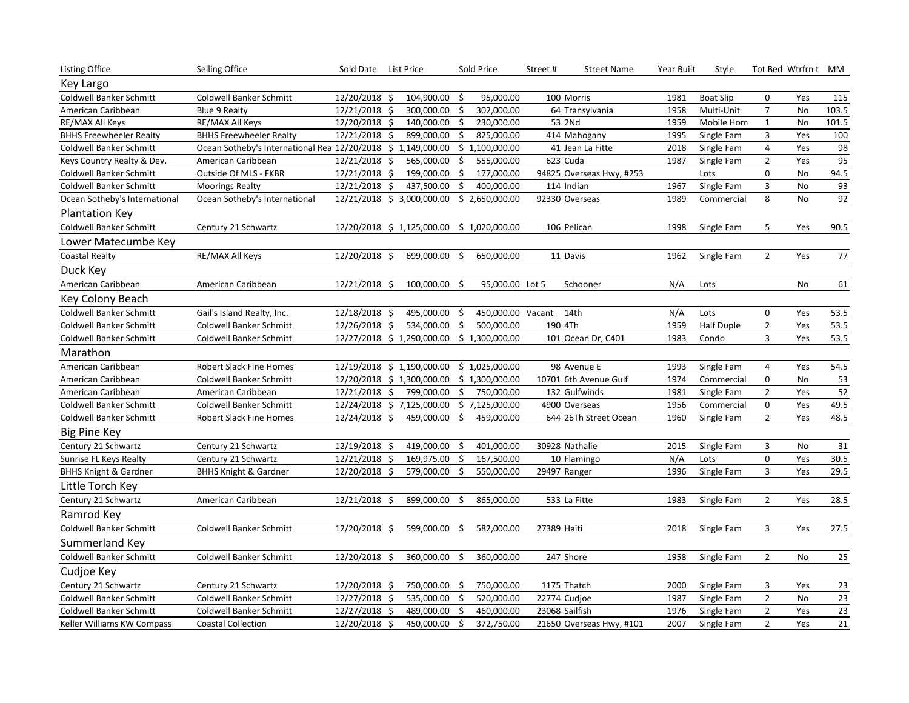| <b>Listing Office</b>            | Selling Office                                               | Sold Date List Price |                                            |                     | Sold Price        | Street#        | <b>Street Name</b>       | Year Built | Style             |                | Tot Bed Wtrfrn t MM |                 |
|----------------------------------|--------------------------------------------------------------|----------------------|--------------------------------------------|---------------------|-------------------|----------------|--------------------------|------------|-------------------|----------------|---------------------|-----------------|
| Key Largo                        |                                                              |                      |                                            |                     |                   |                |                          |            |                   |                |                     |                 |
| <b>Coldwell Banker Schmitt</b>   | <b>Coldwell Banker Schmitt</b>                               | 12/20/2018 \$        | 104,900.00                                 | -\$                 | 95,000.00         |                | 100 Morris               | 1981       | <b>Boat Slip</b>  | 0              | Yes                 | 115             |
| American Caribbean               | <b>Blue 9 Realty</b>                                         | 12/21/2018 \$        | 300,000.00                                 | \$                  | 302,000.00        |                | 64 Transylvania          | 1958       | Multi-Unit        | $\overline{7}$ | No                  | 103.5           |
| RE/MAX All Keys                  | RE/MAX All Keys                                              | 12/20/2018 \$        | 140,000.00                                 | \$                  | 230,000.00        |                | 53 2Nd                   | 1959       | Mobile Hom        | $\mathbf{1}$   | <b>No</b>           | 101.5           |
| <b>BHHS Freewheeler Realty</b>   | <b>BHHS Freewheeler Realty</b>                               | 12/21/2018 \$        | 899,000.00                                 | $\ddot{\mathsf{s}}$ | 825,000.00        |                | 414 Mahogany             | 1995       | Single Fam        | 3              | Yes                 | 100             |
| <b>Coldwell Banker Schmitt</b>   | Ocean Sotheby's International Rea 12/20/2018 \$ 1,149,000.00 |                      |                                            |                     | \$1,100,000.00    |                | 41 Jean La Fitte         | 2018       | Single Fam        | 4              | Yes                 | 98              |
| Keys Country Realty & Dev.       | American Caribbean                                           | 12/21/2018 \$        | 565,000.00                                 | \$                  | 555,000.00        |                | 623 Cuda                 | 1987       | Single Fam        | $\overline{2}$ | Yes                 | 95              |
| <b>Coldwell Banker Schmitt</b>   | Outside Of MLS - FKBR                                        | 12/21/2018 \$        | 199,000.00                                 | \$                  | 177,000.00        |                | 94825 Overseas Hwy, #253 |            | Lots              | $\mathbf 0$    | <b>No</b>           | 94.5            |
| <b>Coldwell Banker Schmitt</b>   | <b>Moorings Realty</b>                                       | 12/21/2018 \$        | 437,500.00                                 | \$                  | 400,000.00        |                | 114 Indian               | 1967       | Single Fam        | 3              | No                  | 93              |
| Ocean Sotheby's International    | Ocean Sotheby's International                                |                      | 12/21/2018 \$ 3,000,000.00                 |                     | \$2,650,000.00    |                | 92330 Overseas           | 1989       | Commercial        | 8              | <b>No</b>           | 92              |
| <b>Plantation Key</b>            |                                                              |                      |                                            |                     |                   |                |                          |            |                   |                |                     |                 |
| Coldwell Banker Schmitt          | Century 21 Schwartz                                          |                      | 12/20/2018 \$ 1,125,000.00 \$ 1,020,000.00 |                     |                   |                | 106 Pelican              | 1998       | Single Fam        | 5              | Yes                 | 90.5            |
| Lower Matecumbe Key              |                                                              |                      |                                            |                     |                   |                |                          |            |                   |                |                     |                 |
| <b>Coastal Realty</b>            | RE/MAX All Keys                                              | 12/20/2018 \$        | 699,000.00                                 | - \$                | 650,000.00        |                | 11 Davis                 | 1962       | Single Fam        | $\overline{2}$ | Yes                 | $77$            |
| Duck Key                         |                                                              |                      |                                            |                     |                   |                |                          |            |                   |                |                     |                 |
| American Caribbean               | American Caribbean                                           | 12/21/2018 \$        | $100,000.00$ \$                            |                     | 95,000.00 Lot 5   |                | Schooner                 | N/A        | Lots              |                | <b>No</b>           | 61              |
| Key Colony Beach                 |                                                              |                      |                                            |                     |                   |                |                          |            |                   |                |                     |                 |
| <b>Coldwell Banker Schmitt</b>   | Gail's Island Realty, Inc.                                   | 12/18/2018 \$        | 495,000.00                                 | \$                  | 450,000.00 Vacant |                | 14th                     | N/A        | Lots              | 0              | Yes                 | 53.5            |
| Coldwell Banker Schmitt          | <b>Coldwell Banker Schmitt</b>                               | 12/26/2018 \$        | 534,000.00                                 | \$                  | 500,000.00        | 190 4Th        |                          | 1959       | <b>Half Duple</b> | $\overline{2}$ | Yes                 | 53.5            |
| Coldwell Banker Schmitt          | <b>Coldwell Banker Schmitt</b>                               |                      | 12/27/2018 \$ 1,290,000.00                 |                     | \$1,300,000.00    |                | 101 Ocean Dr, C401       | 1983       | Condo             | 3              | Yes                 | 53.5            |
| Marathon                         |                                                              |                      |                                            |                     |                   |                |                          |            |                   |                |                     |                 |
| American Caribbean               | Robert Slack Fine Homes                                      |                      | 12/19/2018 \$ 1,190,000.00                 |                     | \$1,025,000.00    |                | 98 Avenue E              | 1993       | Single Fam        | 4              | Yes                 | 54.5            |
| American Caribbean               | <b>Coldwell Banker Schmitt</b>                               |                      | 12/20/2018 \$ 1,300,000.00                 |                     | \$1,300,000.00    |                | 10701 6th Avenue Gulf    | 1974       | Commercial        | $\mathbf 0$    | No                  | 53              |
| American Caribbean               | American Caribbean                                           | 12/21/2018 \$        | 799,000.00                                 | \$                  | 750,000.00        |                | 132 Gulfwinds            | 1981       | Single Fam        | $\overline{2}$ | Yes                 | 52              |
| Coldwell Banker Schmitt          | <b>Coldwell Banker Schmitt</b>                               |                      | 12/24/2018 \$7,125,000.00                  |                     | \$7,125,000.00    |                | 4900 Overseas            | 1956       | Commercial        | $\mathbf 0$    | Yes                 | 49.5            |
| Coldwell Banker Schmitt          | Robert Slack Fine Homes                                      | 12/24/2018 \$        | 459,000.00                                 | \$                  | 459,000.00        |                | 644 26Th Street Ocean    | 1960       | Single Fam        | $\overline{2}$ | Yes                 | 48.5            |
| <b>Big Pine Key</b>              |                                                              |                      |                                            |                     |                   |                |                          |            |                   |                |                     |                 |
| Century 21 Schwartz              | Century 21 Schwartz                                          | 12/19/2018 \$        | 419,000.00                                 | -\$                 | 401,000.00        |                | 30928 Nathalie           | 2015       | Single Fam        | 3              | No                  | 31              |
| Sunrise FL Keys Realty           | Century 21 Schwartz                                          | 12/21/2018 \$        | 169,975.00                                 | \$                  | 167,500.00        |                | 10 Flamingo              | N/A        | Lots              | 0              | Yes                 | 30.5            |
| <b>BHHS Knight &amp; Gardner</b> | <b>BHHS Knight &amp; Gardner</b>                             | 12/20/2018 \$        | 579,000.00                                 | Ŝ.                  | 550,000.00        | 29497 Ranger   |                          | 1996       | Single Fam        | 3              | Yes                 | 29.5            |
| Little Torch Key                 |                                                              |                      |                                            |                     |                   |                |                          |            |                   |                |                     |                 |
| Century 21 Schwartz              | American Caribbean                                           | 12/21/2018 \$        | 899,000.00                                 | - \$                | 865,000.00        |                | 533 La Fitte             | 1983       | Single Fam        | $\overline{2}$ | Yes                 | 28.5            |
| Ramrod Key                       |                                                              |                      |                                            |                     |                   |                |                          |            |                   |                |                     |                 |
| <b>Coldwell Banker Schmitt</b>   | <b>Coldwell Banker Schmitt</b>                               | 12/20/2018 \$        | 599,000.00                                 | Ŝ                   | 582,000.00        | 27389 Haiti    |                          | 2018       | Single Fam        | 3              | Yes                 | 27.5            |
| Summerland Key                   |                                                              |                      |                                            |                     |                   |                |                          |            |                   |                |                     |                 |
| <b>Coldwell Banker Schmitt</b>   | Coldwell Banker Schmitt                                      | 12/20/2018 \$        | 360,000.00                                 | Ŝ.                  | 360,000.00        |                | 247 Shore                | 1958       | Single Fam        | $\overline{2}$ | <b>No</b>           | 25              |
| Cudjoe Key                       |                                                              |                      |                                            |                     |                   |                |                          |            |                   |                |                     |                 |
| Century 21 Schwartz              | Century 21 Schwartz                                          | 12/20/2018 \$        | 750,000.00 \$                              |                     | 750,000.00        |                | 1175 Thatch              | 2000       | Single Fam        | 3              | Yes                 | 23              |
| Coldwell Banker Schmitt          | <b>Coldwell Banker Schmitt</b>                               | $12/27/2018$ \$      | 535,000.00                                 | \$                  | 520,000.00        | 22774 Cudjoe   |                          | 1987       | Single Fam        | $\overline{2}$ | No                  | 23              |
| Coldwell Banker Schmitt          | <b>Coldwell Banker Schmitt</b>                               | 12/27/2018 \$        | 489,000.00 \$                              |                     | 460,000.00        | 23068 Sailfish |                          | 1976       | Single Fam        | $\overline{2}$ | Yes                 | 23              |
| Keller Williams KW Compass       | <b>Coastal Collection</b>                                    | 12/20/2018 \$        | 450,000.00                                 | $\ddot{\phi}$       | 372,750.00        |                | 21650 Overseas Hwy, #101 | 2007       | Single Fam        | $\overline{2}$ | Yes                 | $\overline{21}$ |